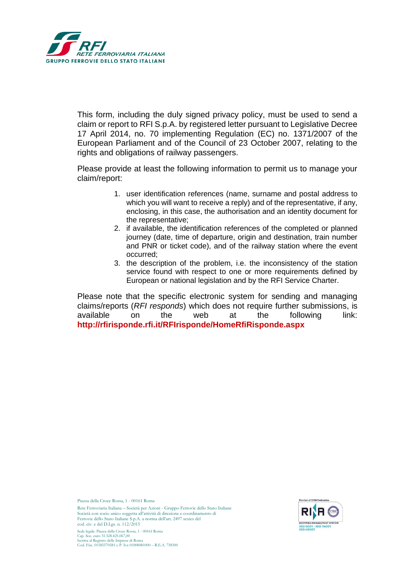

This form, including the duly signed privacy policy, must be used to send a claim or report to RFI S.p.A. by registered letter pursuant to Legislative Decree 17 April 2014, no. 70 implementing Regulation (EC) no. 1371/2007 of the European Parliament and of the Council of 23 October 2007, relating to the rights and obligations of railway passengers.

Please provide at least the following information to permit us to manage your claim/report:

- 1. user identification references (name, surname and postal address to which you will want to receive a reply) and of the representative, if any, enclosing, in this case, the authorisation and an identity document for the representative;
- 2. if available, the identification references of the completed or planned journey (date, time of departure, origin and destination, train number and PNR or ticket code), and of the railway station where the event occurred;
- 3. the description of the problem, i.e. the inconsistency of the station service found with respect to one or more requirements defined by European or national legislation and by the RFI Service Charter.

Please note that the specific electronic system for sending and managing claims/reports (*RFI responds*) which does not require further submissions, is available on the web at the following link: **<http://rfirisponde.rfi.it/RFIrisponde/HomeRfiRisponde.aspx>**

Piazza della Croce Rossa, 1 - 00161 Roma

Rete Ferroviaria Italiana – Società per Azioni - Gruppo Ferrovie dello Stato Italiane Società con socio unico soggetta all'attività di direzione e coordinamento di Ferrovie dello Stato Italiane S.p.A. a norma dell'art. 2497 sexies del cod. civ. e del D.Lgs. n. 112/2015 Sede legale: Piazza della Croce Rossa, 1 - 00161 Roma



Cap. Soc. euro 31.528.425.067,00 Iscritta al Registro delle Imprese di Roma Cod. Fisc. 01585570581 e P. Iva 01008081000 – R.E.A. 758300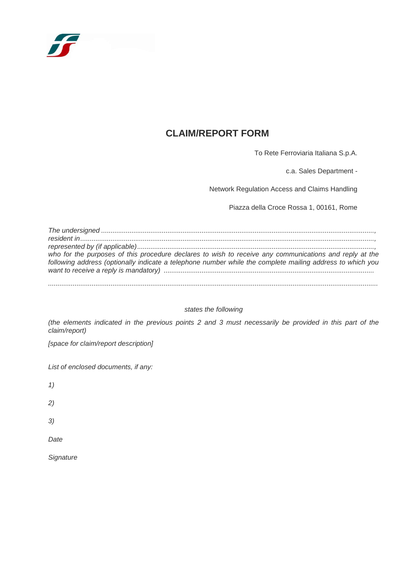

# **CLAIM/REPORT FORM**

To Rete Ferroviaria Italiana S.p.A.

c.a. Sales Department -

Network Regulation Access and Claims Handling

Piazza della Croce Rossa 1, 00161, Rome

*The undersigned ................................................................................................................................................, resident in..........................................................................................................................................................., represented by (if applicable)............................................................................................................................., who for the purposes of this procedure declares to wish to receive any communications and reply at the following address (optionally indicate a telephone number while the complete mailing address to which you want to receive a reply is mandatory) ...............................................................................................................*

*..............................................................................................................................................................................*

#### *states the following*

*(the elements indicated in the previous points 2 and 3 must necessarily be provided in this part of the claim/report)*

*[space for claim/report description]*

*List of enclosed documents, if any:*

*1)*

*2)*

*3)*

*Date*

*Signature*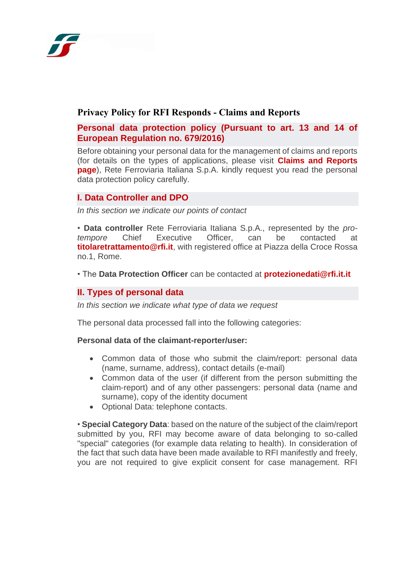

# **Privacy Policy for RFI Responds - Claims and Reports**

## **Personal data protection policy (Pursuant to art. 13 and 14 of European Regulation no. 679/2016)**

Before obtaining your personal data for the management of claims and reports (for details on the types of applications, please visit **[Claims and Reports](https://www.rfi.it/en/misc/reports-and-complaints.html)  [page](https://www.rfi.it/en/misc/reports-and-complaints.html)**), Rete Ferroviaria Italiana S.p.A. kindly request you read the personal data protection policy carefully.

### **I. Data Controller and DPO**

*In this section we indicate our points of contact*

• **Data controller** Rete Ferroviaria Italiana S.p.A., represented by the *protempore* Chief Executive Officer, can be contacted at **[titolaretrattamento@rfi.it](mailto:titolaretrattamento@rfi.it)**, with registered office at Piazza della Croce Rossa no.1, Rome.

• The **Data Protection Officer** can be contacted at **[protezionedati@rfi.it.it](mailto:protezionedati@rfi.it.it)**

### **II. Types of personal data**

*In this section we indicate what type of data we request*

The personal data processed fall into the following categories:

#### **Personal data of the claimant-reporter/user:**

- Common data of those who submit the claim/report: personal data (name, surname, address), contact details (e-mail)
- Common data of the user (if different from the person submitting the claim-report) and of any other passengers: personal data (name and surname), copy of the identity document
- Optional Data: telephone contacts.

• **Special Category Data**: based on the nature of the subject of the claim/report submitted by you, RFI may become aware of data belonging to so-called "special" categories (for example data relating to health). In consideration of the fact that such data have been made available to RFI manifestly and freely, you are not required to give explicit consent for case management. RFI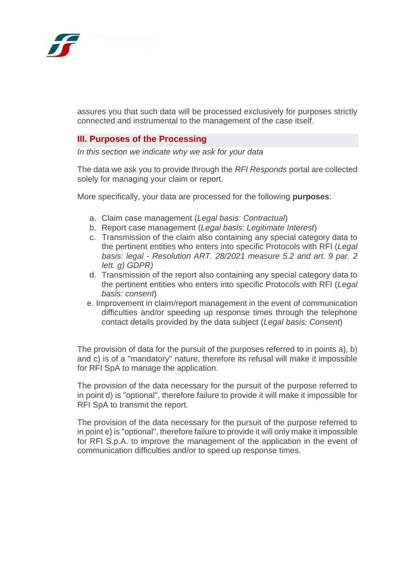

assures you that such data will be processed exclusively for purposes strictly connected and instrumental to the management of the case itself.

### **III. Purposes of the Processing**

*In this section we indicate why we ask for your data*

The data we ask you to provide through the *RFI Responds* portal are collected solely for managing your claim or report.

More specifically, your data are processed for the following **purposes**:

- a. Claim case management (*Legal basis: Contractual*)
- b. Report case management (*Legal basis: Legitimate Interest*)
- c. Transmission of the claim also containing any special category data to the pertinent entities who enters into specific Protocols with RFI (*Legal basis: legal - Resolution ART. 28/2021 measure 5.2 and art. 9 par. 2 lett. g) GDPR)*
- d. Transmission of the report also containing any special category data to the pertinent entities who enters into specific Protocols with RFI (*Legal basis: consent*)
- e. Improvement in claim/report management in the event of communication difficulties and/or speeding up response times through the telephone contact details provided by the data subject (*Legal basis: Consent*)

The provision of data for the pursuit of the purposes referred to in points a), b) and c) is of a "mandatory" nature, therefore its refusal will make it impossible for RFI SpA to manage the application.

The provision of the data necessary for the pursuit of the purpose referred to in point d) is "optional", therefore failure to provide it will make it impossible for RFI SpA to transmit the report.

The provision of the data necessary for the pursuit of the purpose referred to in point e) is "optional", therefore failure to provide it will only make it impossible for RFI S.p.A. to improve the management of the application in the event of communication difficulties and/or to speed up response times.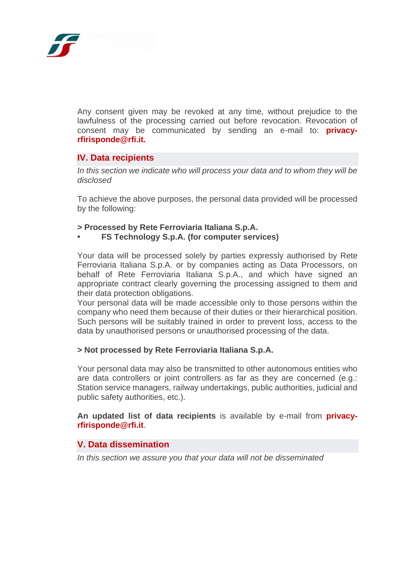

Any consent given may be revoked at any time, without prejudice to the lawfulness of the processing carried out before revocation. Revocation of consent may be communicated by sending an e-mail to: **privacyrfirisponde@rfi.it.**

#### **IV. Data recipients**

*In this section we indicate who will process your data and to whom they will be disclosed*

To achieve the above purposes, the personal data provided will be processed by the following:

- **> Processed by Rete Ferroviaria Italiana S.p.A.**
- **• FS Technology S.p.A. (for computer services)**

Your data will be processed solely by parties expressly authorised by Rete Ferroviaria Italiana S.p.A. or by companies acting as Data Processors, on behalf of Rete Ferroviaria Italiana S.p.A., and which have signed an appropriate contract clearly governing the processing assigned to them and their data protection obligations.

Your personal data will be made accessible only to those persons within the company who need them because of their duties or their hierarchical position. Such persons will be suitably trained in order to prevent loss, access to the data by unauthorised persons or unauthorised processing of the data.

#### **> Not processed by Rete Ferroviaria Italiana S.p.A.**

Your personal data may also be transmitted to other autonomous entities who are data controllers or joint controllers as far as they are concerned (e.g.: Station service managers, railway undertakings, public authorities, judicial and public safety authorities, etc.).

**An updated list of data recipients** is available by e-mail from **[privacy](mailto:privacy-rfirisponde@rfi.it)[rfirisponde@rfi.it](mailto:privacy-rfirisponde@rfi.it)**.

#### **V. Data dissemination**

*In this section we assure you that your data will not be disseminated*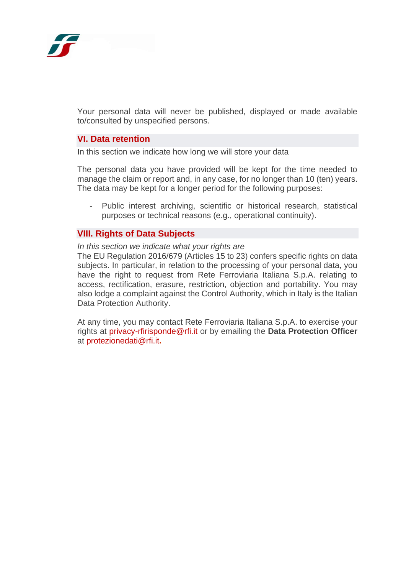

Your personal data will never be published, displayed or made available to/consulted by unspecified persons.

### **VI. Data retention**

In this section we indicate how long we will store your data

The personal data you have provided will be kept for the time needed to manage the claim or report and, in any case, for no longer than 10 (ten) years. The data may be kept for a longer period for the following purposes:

- Public interest archiving, scientific or historical research, statistical purposes or technical reasons (e.g., operational continuity).

#### **VIII. Rights of Data Subjects**

#### *In this section we indicate what your rights are*

The EU Regulation 2016/679 (Articles 15 to 23) confers specific rights on data subjects. In particular, in relation to the processing of your personal data, you have the right to request from Rete Ferroviaria Italiana S.p.A. relating to access, rectification, erasure, restriction, objection and portability. You may also lodge a complaint against the Control Authority, which in Italy is the Italian Data Protection Authority.

At any time, you may contact Rete Ferroviaria Italiana S.p.A. to exercise your rights at [privacy-rfirisponde@rfi.it](mailto:privacy-rfirisponde@rfi.it) or by emailing the **Data Protection Officer** at [protezionedati@rfi.it](mailto:protezionedati@rfi.it)**.**